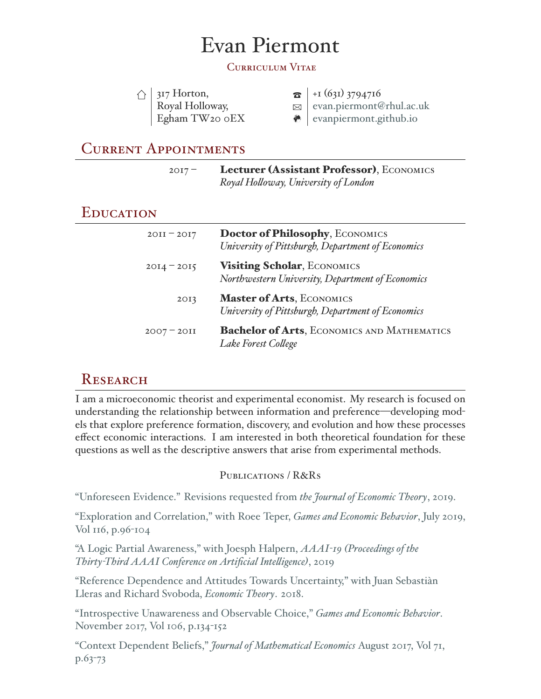# Evan Piermont

#### Curriculum Vitae

| $\bigcap$ 317 Horton,      | $\mathbf{B}$ + 1 (631) 3794716         |
|----------------------------|----------------------------------------|
| Royal Holloway,            | $\boxtimes$   evan.piermont@rhul.ac.uk |
| Egham TW <sub>20</sub> oEX | $\bullet$   evanpiermont.github.io     |

## Current Appointments

| $2017 -$ | Lecturer (Assistant Professor), ECONOMICS |
|----------|-------------------------------------------|
|          | Royal Holloway, University of London      |

## **EDUCATION**

| $20II - 20I7$ | Doctor of Philosophy, ECONOMICS<br>University of Pittsburgh, Department of Economics  |
|---------------|---------------------------------------------------------------------------------------|
| $20I4 - 20I5$ | Visiting Scholar, ECONOMICS<br>Northwestern University, Department of Economics       |
| 20I3          | <b>Master of Arts, ECONOMICS</b><br>University of Pittsburgh, Department of Economics |
| $2007 - 2011$ | <b>Bachelor of Arts, ECONOMICS AND MATHEMATICS</b><br>Lake Forest College             |

# **RESEARCH**

I am a microeconomic theorist and experimental economist. My research is focused on understanding the relationship between information and preference—developing models that explore preference formation, discovery, and evolution and how these processes effect economic interactions. I am interested in both theoretical foundation for these questions as well as the descriptive answers that arise from experimental methods.

#### PUBLICATIONS / R&RS

["Unforeseen Evidence." Revisions requested from](https://arxiv.org/abs/1907.07019) *the Journal of Economic Theory*, 2019.

["Exploration and Correlation," with Roee Teper,](https://evanpiermont.github.io/pdfs/E&C.pdf) *Games and Economic Behavior*, July 2019, [Vol 116, p.96-104](https://evanpiermont.github.io/pdfs/E&C.pdf)

["A Logic Partial Awareness," with Joesph Halpern,](https://arxiv.org/abs/1811.05751) *AAAI-19 (Proceedings of the [Thirty-Third AAAI Conference on Artificial Intelligence\)](https://arxiv.org/abs/1811.05751)*, 2019

["Reference Dependence and Attitudes Towards Uncertainty," with Juan Sebastiàn](http://evanpiermont.github.io/pdfs/AGL.Final.pdf) [Lleras and Richard Svoboda,](http://evanpiermont.github.io/pdfs/AGL.Final.pdf) *Economic Theory*. 2018.

["Introspective Unawareness and Observable Choice,"](http://evanpiermont.github.io/pdfs/Unawareness.pdf) *Games and Economic Behavior*. [November 2017, Vol 106, p.134-152](http://evanpiermont.github.io/pdfs/Unawareness.pdf)

["Context Dependent Beliefs,"](http://evanpiermont.github.io/pdfs/Context_Dependent_Beliefs.pdf) *Journal of Mathematical Economics* August 2017, Vol 71, [p.63-73](http://evanpiermont.github.io/pdfs/Context_Dependent_Beliefs.pdf)